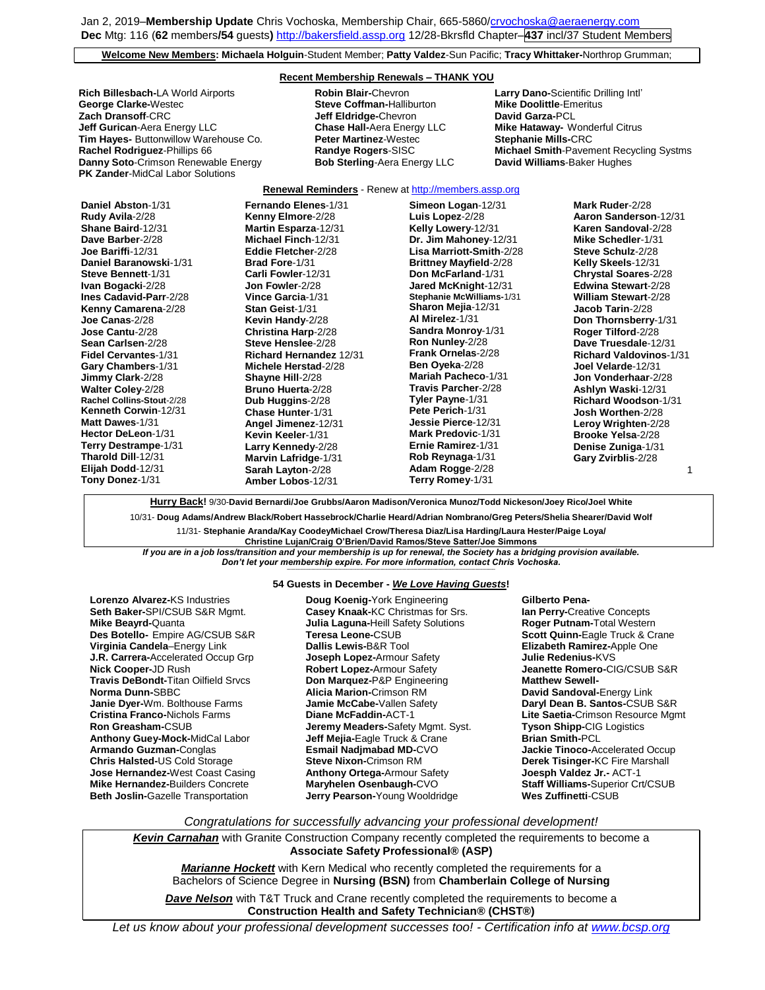Jan 2, 2019–**Membership Update** Chris Vochoska, Membership Chair, 665-586[0/crvochoska@aeraenergy.com](mailto:crvochoska@aeraenergy.com) **Dec** Mtg: 116 (**62** members**/54** guests**)** [http://bakersfield.assp.org](http://bakersfield.assp.org/) 12/28-Bkrsfld Chapter–**437** incl/37 Student Members

**Welcome New Members: Michaela Holguin**-Student Member; **Patty Valdez**-Sun Pacific; **Tracy Whittaker-**Northrop Grumman;

### **Recent Membership Renewals – THANK YOU**

**Rich Billesbach-**LA World Airports **Robin Blair-**Chevron **Larry Dano-**Scientific Drilling Intl' **George Clarke-**Westec **Steve Coffman-**Halliburton **Mike Doolittle**-Emeritus **Jeff Gurican**-Aera Energy LLC **Chase Hall-**Aera Energy LLC **Mike Hataway-** Wonderful Citrus **Tim Hayes-** Buttonwillow Warehouse Co. **Danny Soto**-Crimson Renewable Energy **Bob Sterling**-Aera Energy LLC **David Williams**-Baker Hughes **PK Zander**-MidCal Labor Solutions

**Jeff Eldridge-Chevron** 

**Rachel Rodriguez**-Phillips 66 **Randye Rogers**-SISC **Michael Smith**-Pavement Recycling Systms

#### **Renewal Reminders** - Renew a[t http://members.assp.org](http://members.assp.org/) **Simeon Logan**-12/31

| Daniel Abston-1/31          | Fernando Elenes-1/31           | Simeon Logan-12/31            | Mark Ruder-2/28                |
|-----------------------------|--------------------------------|-------------------------------|--------------------------------|
| Rudy Avila-2/28             | Kenny Elmore-2/28              | Luis Lopez-2/28               | <b>Aaron Sanderson-12/31</b>   |
| Shane Baird-12/31           | Martin Esparza-12/31           | Kelly Lowery-12/31            | Karen Sandoval-2/28            |
| Dave Barber-2/28            | <b>Michael Finch-12/31</b>     | Dr. Jim Mahoney-12/31         | <b>Mike Schedler-1/31</b>      |
| Joe Bariffi-12/31           | Eddie Fletcher-2/28            | Lisa Marriott-Smith-2/28      | Steve Schulz-2/28              |
| Daniel Baranowski-1/31      | <b>Brad Fore-1/31</b>          | <b>Brittney Mayfield-2/28</b> | Kelly Skeels-12/31             |
| Steve Bennett-1/31          | Carli Fowler-12/31             | Don McFarland-1/31            | <b>Chrystal Soares-2/28</b>    |
| Ivan Bogacki-2/28           | Jon Fowler-2/28                | Jared McKnight-12/31          | <b>Edwina Stewart-2/28</b>     |
| Ines Cadavid-Parr-2/28      | Vince Garcia-1/31              | Stephanie McWilliams-1/31     | <b>William Stewart-2/28</b>    |
| Kenny Camarena-2/28         | Stan Geist-1/31                | <b>Sharon Mejia-12/31</b>     | Jacob Tarin-2/28               |
| Joe Canas-2/28              | Kevin Handy-2/28               | Al Mirelez-1/31               | Don Thornsberry-1/31           |
| Jose Cantu-2/28             | Christina Harp-2/28            | <b>Sandra Monroy-1/31</b>     | Roger Tilford-2/28             |
| Sean Carlsen-2/28           | Steve Henslee-2/28             | Ron Nunley-2/28               | Dave Truesdale-12/31           |
| <b>Fidel Cervantes-1/31</b> | <b>Richard Hernandez 12/31</b> | Frank Ornelas-2/28            | <b>Richard Valdovinos-1/31</b> |
| Gary Chambers-1/31          | Michele Herstad-2/28           | Ben Oyeka-2/28                | Joel Velarde-12/31             |
| Jimmy Clark-2/28            | Shayne Hill-2/28               | <b>Mariah Pacheco-1/31</b>    | <b>Jon Vonderhaar-2/28</b>     |
| <b>Walter Coley-2/28</b>    | <b>Bruno Huerta-2/28</b>       | Travis Parcher-2/28           | Ashlyn Waski-12/31             |
| Rachel Collins-Stout-2/28   | Dub Huggins-2/28               | Tyler Payne-1/31              | Richard Woodson-1/31           |
| <b>Kenneth Corwin-12/31</b> | Chase Hunter-1/31              | Pete Perich-1/31              | Josh Worthen-2/28              |
| Matt Dawes-1/31             | Angel Jimenez-12/31            | Jessie Pierce-12/31           | Leroy Wrighten-2/28            |
| <b>Hector DeLeon-1/31</b>   | Kevin Keeler-1/31              | <b>Mark Predovic-1/31</b>     | <b>Brooke Yelsa-2/28</b>       |
| Terry Destrampe-1/31        | Larry Kennedy-2/28             | Ernie Ramirez-1/31            | <b>Denise Zuniga-1/31</b>      |
| Tharold Dill-12/31          | Marvin Lafridge-1/31           | Rob Reynaga-1/31              | Gary Zvirblis-2/28             |
| Elijah Dodd-12/31           | Sarah Layton-2/28              | Adam Rogge-2/28               |                                |
| Tony Donez-1/31             | <b>Amber Lobos-12/31</b>       | Terry Romey-1/31              |                                |

**Hurry Back!** 9/30-**David Bernardi/Joe Grubbs/Aaron Madison/Veronica Munoz/Todd Nickeson/Joey Rico/Joel White**

10/31- **Doug Adams/Andrew Black/Robert Hassebrock/Charlie Heard/Adrian Nombrano/Greg Peters/Shelia Shearer/David Wolf** 11/31- **Stephanie Aranda/Kay CoodeyMichael Crow/Theresa Diaz/Lisa Harding/Laura Hester/Paige Loya/**

**Christine Lujan/Craig O'Brien/David Ramos/Steve Satter/Joe Simmons** *If you are in a job loss/transition and your membership is up for renewal, the Society has a bridging provision available. Don't let your membership expire. For more information, contact Chris Vochoska.* 

#### **----------------------------------------------------------------------------------------------------------------------------------------------------------------------- 54 Guests in December -** *We Love Having Guests***!**

**Lorenzo Alvarez-**KS Industries **Seth Baker-**SPI/CSUB S&R Mgmt. **Mike Beayrd-**Quanta **Des Botello-** Empire AG/CSUB S&R **Virginia Candela**–Energy Link **J.R. Carrera-**Accelerated Occup Grp **Nick Cooper-**JD Rush **Travis DeBondt-**Titan Oilfield Srvcs **Norma Dunn-**SBBC **Janie Dyer-**Wm. Bolthouse Farms **Cristina Franco-**Nichols Farms **Ron Greasham-**CSUB **Anthony Guey-Mock-**MidCal Labor **Armando Guzman-**Conglas **Chris Halsted-**US Cold Storage **Jose Hernandez-**West Coast Casing **Mike Hernandez-**Builders Concrete **Beth Joslin-**Gazelle Transportation

**Doug Koenig-**York Engineering **Casey Knaak-**KC Christmas for Srs. **Julia Laguna-**Heill Safety Solutions **Teresa Leone-**CSUB **Dallis Lewis-**B&R Tool **Joseph Lopez-**Armour Safety **Robert Lopez-**Armour Safety **Don Marquez-**P&P Engineering **Alicia Marion-**Crimson RM **Jamie McCabe-**Vallen Safety **Diane McFaddin-**ACT-1 **Jeremy Meaders-**Safety Mgmt. Syst. **Jeff Mejia-**Eagle Truck & Crane **Esmail Nadjmabad MD-**CVO **Steve Nixon-**Crimson RM **Anthony Ortega-**Armour Safety **Maryhelen Osenbaugh-**CVO **Jerry Pearson-**Young Wooldridge

**Ian Perry-**Creative Concepts **Roger Putnam-**Total Western **Scott Quinn-**Eagle Truck & Crane **Elizabeth Ramirez-**Apple One **Julie Redenius-**KVS **Jeanette Romero-**CIG/CSUB S&R **Matthew Sewell-David Sandoval-**Energy Link **Daryl Dean B. Santos-**CSUB S&R **Lite Saetia-**Crimson Resource Mgmt **Tyson Shipp-**CIG Logistics **Brian Smith-**PCL **Jackie Tinoco-**Accelerated Occup **Derek Tisinger-**KC Fire Marshall **Joesph Valdez Jr.-** ACT-1 **Staff Williams-**Superior Crt/CSUB **Wes Zuffinetti**-CSUB

**Gilberto Pena-**

*Congratulations for successfully advancing your professional development!*

*Kevin Carnahan* with Granite Construction Company recently completed the requirements to become a **Associate Safety Professional® (ASP)**

*Marianne Hockett* with Kern Medical who recently completed the requirements for a Bachelors of Science Degree in **Nursing (BSN)** from **Chamberlain College of Nursing**

*Dave Nelson* with T&T Truck and Crane recently completed the requirements to become a **Construction Health and Safety Technician® (CHST®)**

*Let us know about your professional development successes too! - Certification info at [www.bcsp.org](http://www.bcsp.org/)*